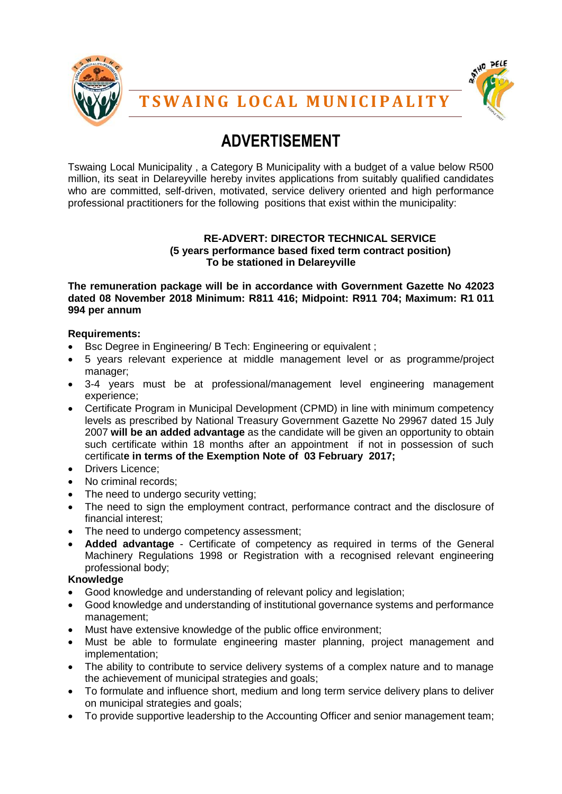



# **ADVERTISEMENT**

Tswaing Local Municipality , a Category B Municipality with a budget of a value below R500 million, its seat in Delareyville hereby invites applications from suitably qualified candidates who are committed, self-driven, motivated, service delivery oriented and high performance professional practitioners for the following positions that exist within the municipality:

## **RE-ADVERT: DIRECTOR TECHNICAL SERVICE (5 years performance based fixed term contract position) To be stationed in Delareyville**

**The remuneration package will be in accordance with Government Gazette No 42023 dated 08 November 2018 Minimum: R811 416; Midpoint: R911 704; Maximum: R1 011 994 per annum**

# **Requirements:**

- Bsc Degree in Engineering/ B Tech: Engineering or equivalent ;
- 5 years relevant experience at middle management level or as programme/project manager;
- 3-4 years must be at professional/management level engineering management experience;
- Certificate Program in Municipal Development (CPMD) in line with minimum competency levels as prescribed by National Treasury Government Gazette No 29967 dated 15 July 2007 **will be an added advantage** as the candidate will be given an opportunity to obtain such certificate within 18 months after an appointment if not in possession of such certificat**e in terms of the Exemption Note of 03 February 2017;**
- Drivers Licence:
- No criminal records;
- The need to undergo security vetting;
- The need to sign the employment contract, performance contract and the disclosure of financial interest;
- The need to undergo competency assessment;
- **Added advantage** Certificate of competency as required in terms of the General Machinery Regulations 1998 or Registration with a recognised relevant engineering professional body;

# **Knowledge**

- Good knowledge and understanding of relevant policy and legislation;
- Good knowledge and understanding of institutional governance systems and performance management;
- Must have extensive knowledge of the public office environment;
- Must be able to formulate engineering master planning, project management and implementation;
- The ability to contribute to service delivery systems of a complex nature and to manage the achievement of municipal strategies and goals;
- To formulate and influence short, medium and long term service delivery plans to deliver on municipal strategies and goals;
- To provide supportive leadership to the Accounting Officer and senior management team;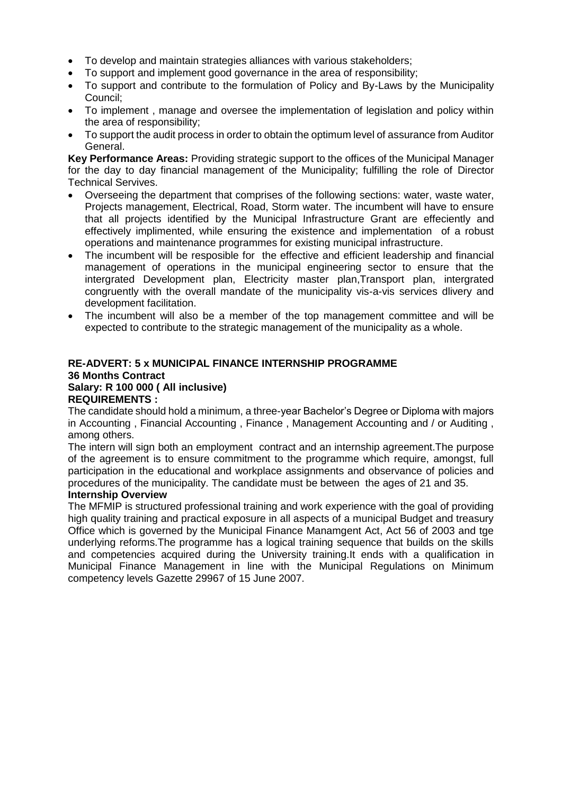- To develop and maintain strategies alliances with various stakeholders;
- To support and implement good governance in the area of responsibility;
- To support and contribute to the formulation of Policy and By-Laws by the Municipality Council;
- To implement , manage and oversee the implementation of legislation and policy within the area of responsibility;
- To support the audit process in order to obtain the optimum level of assurance from Auditor General.

**Key Performance Areas:** Providing strategic support to the offices of the Municipal Manager for the day to day financial management of the Municipality; fulfilling the role of Director Technical Servives.

- Overseeing the department that comprises of the following sections: water, waste water, Projects management, Electrical, Road, Storm water. The incumbent will have to ensure that all projects identified by the Municipal Infrastructure Grant are effeciently and effectively implimented, while ensuring the existence and implementation of a robust operations and maintenance programmes for existing municipal infrastructure.
- The incumbent will be resposible for the effective and efficient leadership and financial management of operations in the municipal engineering sector to ensure that the intergrated Development plan, Electricity master plan, Transport plan, intergrated congruently with the overall mandate of the municipality vis-a-vis services dlivery and development facilitation.
- The incumbent will also be a member of the top management committee and will be expected to contribute to the strategic management of the municipality as a whole.

#### **RE-ADVERT: 5 x MUNICIPAL FINANCE INTERNSHIP PROGRAMME 36 Months Contract Salary: R 100 000 ( All inclusive) REQUIREMENTS :**

The candidate should hold a minimum, a three-year Bachelor's Degree or Diploma with majors in Accounting , Financial Accounting , Finance , Management Accounting and / or Auditing , among others.

The intern will sign both an employment contract and an internship agreement.The purpose of the agreement is to ensure commitment to the programme which require, amongst, full participation in the educational and workplace assignments and observance of policies and procedures of the municipality. The candidate must be between the ages of 21 and 35.

# **Internship Overview**

The MFMIP is structured professional training and work experience with the goal of providing high quality training and practical exposure in all aspects of a municipal Budget and treasury Office which is governed by the Municipal Finance Manamgent Act, Act 56 of 2003 and tge underlying reforms.The programme has a logical training sequence that builds on the skills and competencies acquired during the University training.It ends with a qualification in Municipal Finance Management in line with the Municipal Regulations on Minimum competency levels Gazette 29967 of 15 June 2007.